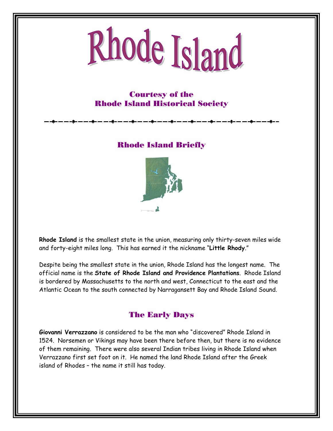# Rhode Island

## Courtesy of the Rhode Island Historical Society

Rhode Island Briefly



**Rhode Island** is the smallest state in the union, measuring only thirty-seven miles wide and forty-eight miles long. This has earned it the nickname "**Little Rhody**."

Despite being the smallest state in the union, Rhode Island has the longest name. The official name is the **State of Rhode Island and Providence Plantations**. Rhode Island is bordered by Massachusetts to the north and west, Connecticut to the east and the Atlantic Ocean to the south connected by Narragansett Bay and Rhode Island Sound.

## The Early Days

**Giovanni Verrazzano** is considered to be the man who "discovered" Rhode Island in 1524. Norsemen or Vikings may have been there before then, but there is no evidence of them remaining. There were also several Indian tribes living in Rhode Island when Verrazzano first set foot on it. He named the land Rhode Island after the Greek island of Rhodes – the name it still has today.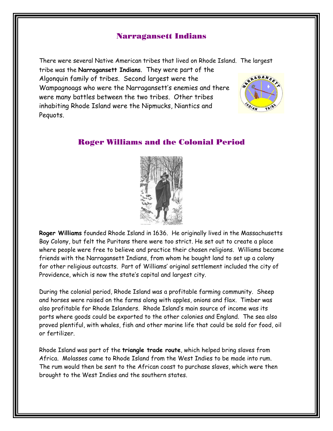#### Narragansett Indians

There were several Native American tribes that lived on Rhode Island. The largest tribe was the **Narragansett Indians**. They were part of the RAGANS Algonquin family of tribes. Second largest were the Wampagnoags who were the Narragansett's enemies and there were many battles between the two tribes. Other tribes inhabiting Rhode Island were the Nipmucks, Niantics and Pequots.

#### Roger Williams and the Colonial Period



**Roger Williams** founded Rhode Island in 1636. He originally lived in the Massachusetts Bay Colony, but felt the Puritans there were too strict. He set out to create a place where people were free to believe and practice their chosen religions. Williams became friends with the Narragansett Indians, from whom he bought land to set up a colony for other religious outcasts. Part of Williams' original settlement included the city of Providence, which is now the state's capital and largest city.

During the colonial period, Rhode Island was a profitable farming community. Sheep and horses were raised on the farms along with apples, onions and flax. Timber was also profitable for Rhode Islanders. Rhode Island's main source of income was its ports where goods could be exported to the other colonies and England. The sea also proved plentiful, with whales, fish and other marine life that could be sold for food, oil or fertilizer.

Rhode Island was part of the **triangle trade route**, which helped bring slaves from Africa. Molasses came to Rhode Island from the West Indies to be made into rum. The rum would then be sent to the African coast to purchase slaves, which were then brought to the West Indies and the southern states.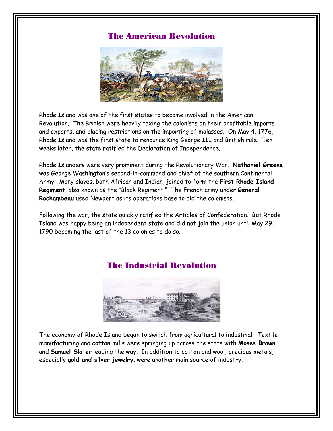#### The American Revolution



Rhode Island was one of the first states to become involved in the American Revolution. The British were heavily taxing the colonists on their profitable imports and exports, and placing restrictions on the importing of molasses. On May 4, 1776, Rhode Island was the first state to renounce King George III and British rule. Ten weeks later, the state ratified the Declaration of Independence.

Rhode Islanders were very prominent during the Revolutionary War. **Nathaniel Greene** was George Washington's second-in-command and chief of the southern Continental Army. Many slaves, both African and Indian, joined to form the **First Rhode Island Regiment**, also known as the "Black Regiment." The French army under **General Rochambeau** used Newport as its operations base to aid the colonists.

Following the war, the state quickly ratified the Articles of Confederation. But Rhode Island was happy being an independent state and did not join the union until May 29, 1790 becoming the last of the 13 colonies to do so.

#### The Industrial Revolution



The economy of Rhode Island began to switch from agricultural to industrial. Textile manufacturing and **cotton** mills were springing up across the state with **Moses Brown** and **Samuel Slater** leading the way. In addition to cotton and wool, precious metals, especially **gold and silver jewelry**, were another main source of industry.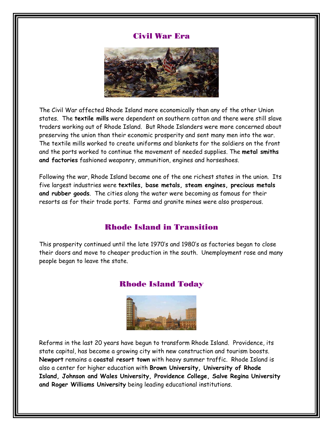#### Civil War Era



The Civil War affected Rhode Island more economically than any of the other Union states. The **textile mills** were dependent on southern cotton and there were still slave traders working out of Rhode Island. But Rhode Islanders were more concerned about preserving the union than their economic prosperity and sent many men into the war. The textile mills worked to create uniforms and blankets for the soldiers on the front and the ports worked to continue the movement of needed supplies. The **metal smiths and factories** fashioned weaponry, ammunition, engines and horseshoes.

Following the war, Rhode Island became one of the one richest states in the union. Its five largest industries were **textiles, base metals, steam engines, precious metals and rubber goods**. The cities along the water were becoming as famous for their resorts as for their trade ports. Farms and granite mines were also prosperous.

#### Rhode Island in Transition

This prosperity continued until the late 1970's and 1980's as factories began to close their doors and move to cheaper production in the south. Unemployment rose and many people began to leave the state.

#### Rhode Island Today



Reforms in the last 20 years have begun to transform Rhode Island. Providence, its state capital, has become a growing city with new construction and tourism boosts. **Newport** remains a **coastal resort town** with heavy summer traffic. Rhode Island is also a center for higher education with **Brown University, University of Rhode Island, Johnson and Wales University, Providence College, Salve Regina University and Roger Williams University** being leading educational institutions.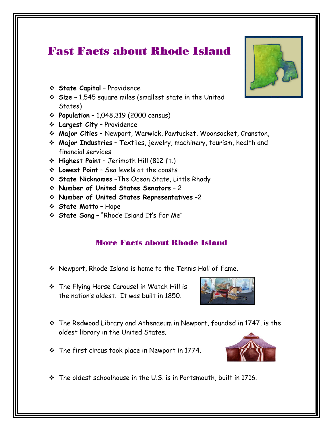# Fast Facts about Rhode Island

- **State Capital** Providence
- **Size** 1,545 square miles (smallest state in the United States)
- **Population** 1,048,319 (2000 census)
- **Largest City** Providence
- **Major Cities** Newport, Warwick, Pawtucket, Woonsocket, Cranston,
- **Major Industries** Textiles, jewelry, machinery, tourism, health and financial services
- **Highest Point** Jerimoth Hill (812 ft.)
- **Lowest Point** Sea levels at the coasts
- **State Nicknames** –The Ocean State, Little Rhody
- **Number of United States Senators** 2
- **Number of United States Representatives** –2
- **State Motto** Hope
- **State Song** "Rhode Island It's For Me"

## More Facts about Rhode Island

- Newport, Rhode Island is home to the Tennis Hall of Fame.
- The Flying Horse Carousel in Watch Hill is the nation's oldest. It was built in 1850.



The first circus took place in Newport in 1774.



 $\cdot$  The oldest schoolhouse in the U.S. is in Portsmouth, built in 1716.

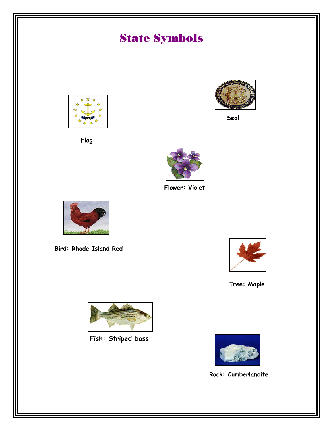

**Rock: Cumberlandite**